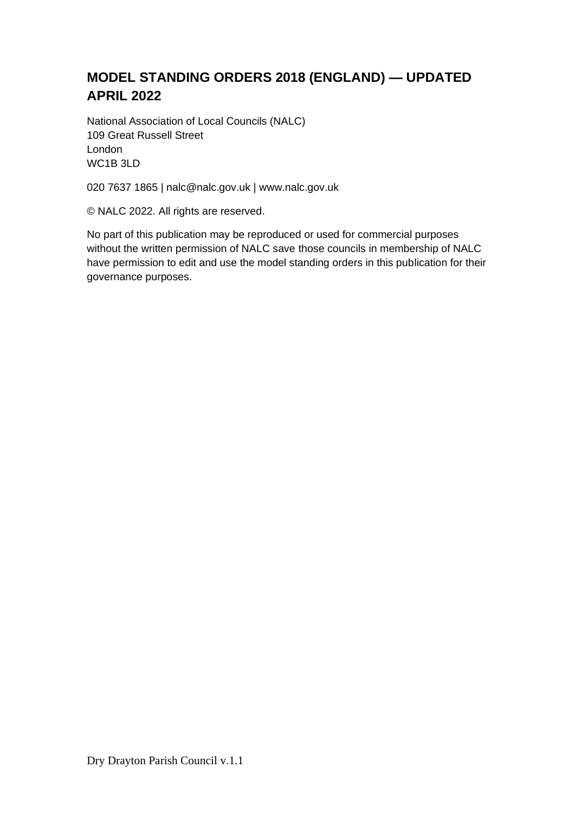# **MODEL STANDING ORDERS 2018 (ENGLAND) — UPDATED APRIL 2022**

National Association of Local Councils (NALC) 109 Great Russell Street London WC1B 3LD

020 7637 1865 | nalc@nalc.gov.uk | www.nalc.gov.uk

© NALC 2022. All rights are reserved.

No part of this publication may be reproduced or used for commercial purposes without the written permission of NALC save those councils in membership of NALC have permission to edit and use the model standing orders in this publication for their governance purposes.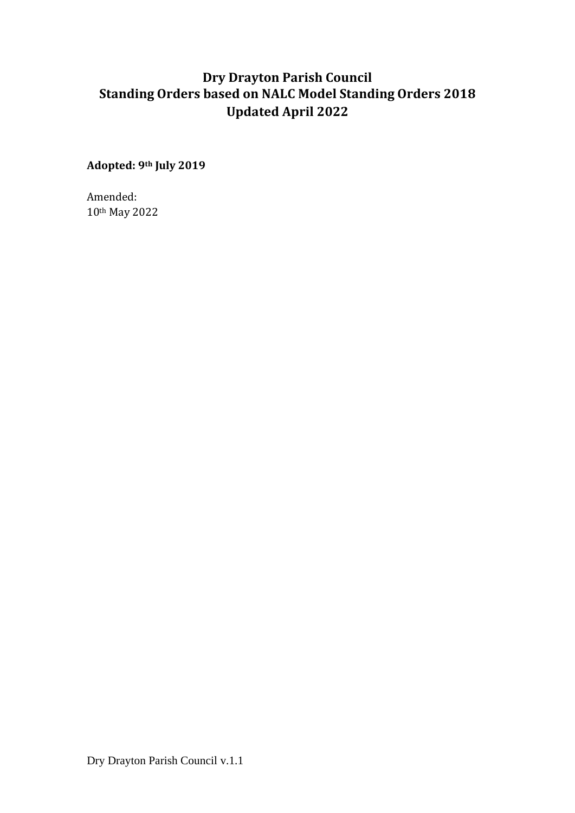# **Dry Drayton Parish Council Standing Orders based on NALC Model Standing Orders 2018 Updated April 2022**

**Adopted: 9th July 2019**

Amended: 10th May 2022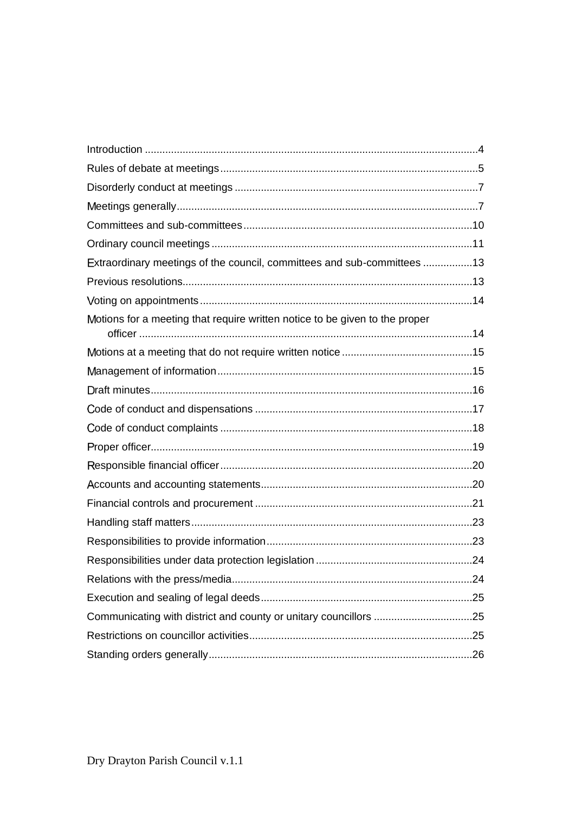| Extraordinary meetings of the council, committees and sub-committees 13     |  |
|-----------------------------------------------------------------------------|--|
|                                                                             |  |
|                                                                             |  |
| Motions for a meeting that require written notice to be given to the proper |  |
|                                                                             |  |
|                                                                             |  |
|                                                                             |  |
|                                                                             |  |
|                                                                             |  |
|                                                                             |  |
|                                                                             |  |
|                                                                             |  |
|                                                                             |  |
|                                                                             |  |
|                                                                             |  |
|                                                                             |  |
|                                                                             |  |
|                                                                             |  |
|                                                                             |  |
|                                                                             |  |
|                                                                             |  |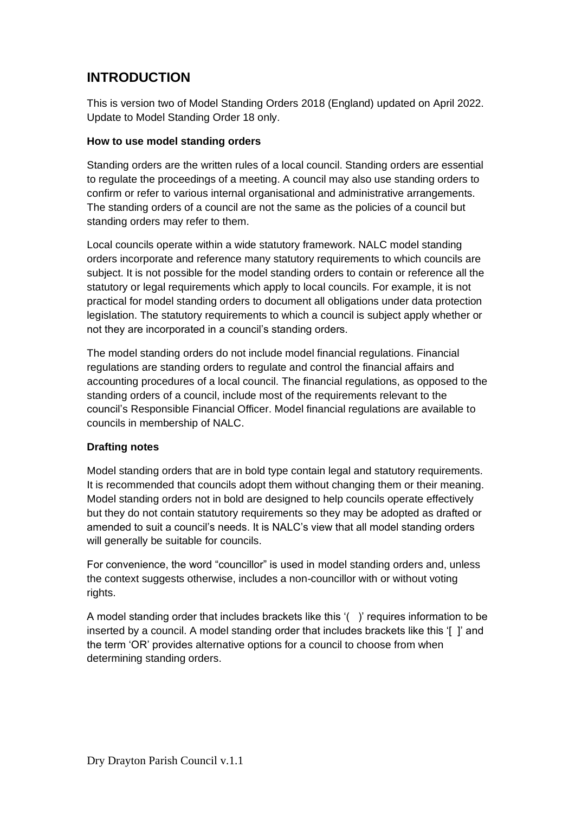# <span id="page-3-0"></span>**INTRODUCTION**

This is version two of Model Standing Orders 2018 (England) updated on April 2022. Update to Model Standing Order 18 only.

## **How to use model standing orders**

Standing orders are the written rules of a local council. Standing orders are essential to regulate the proceedings of a meeting. A council may also use standing orders to confirm or refer to various internal organisational and administrative arrangements. The standing orders of a council are not the same as the policies of a council but standing orders may refer to them.

Local councils operate within a wide statutory framework. NALC model standing orders incorporate and reference many statutory requirements to which councils are subject. It is not possible for the model standing orders to contain or reference all the statutory or legal requirements which apply to local councils. For example, it is not practical for model standing orders to document all obligations under data protection legislation. The statutory requirements to which a council is subject apply whether or not they are incorporated in a council's standing orders.

The model standing orders do not include model financial regulations. Financial regulations are standing orders to regulate and control the financial affairs and accounting procedures of a local council. The financial regulations, as opposed to the standing orders of a council, include most of the requirements relevant to the council's Responsible Financial Officer. Model financial regulations are available to councils in membership of NALC.

## **Drafting notes**

Model standing orders that are in bold type contain legal and statutory requirements. It is recommended that councils adopt them without changing them or their meaning. Model standing orders not in bold are designed to help councils operate effectively but they do not contain statutory requirements so they may be adopted as drafted or amended to suit a council's needs. It is NALC's view that all model standing orders will generally be suitable for councils.

For convenience, the word "councillor" is used in model standing orders and, unless the context suggests otherwise, includes a non-councillor with or without voting rights.

A model standing order that includes brackets like this '( )' requires information to be inserted by a council. A model standing order that includes brackets like this '[ ]' and the term 'OR' provides alternative options for a council to choose from when determining standing orders.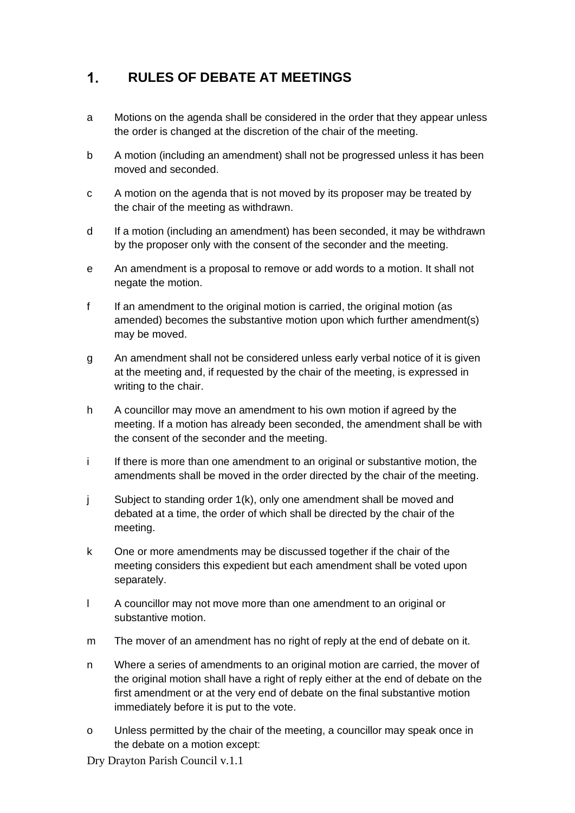## <span id="page-4-0"></span> $1<sub>1</sub>$ **RULES OF DEBATE AT MEETINGS**

- a Motions on the agenda shall be considered in the order that they appear unless the order is changed at the discretion of the chair of the meeting.
- b A motion (including an amendment) shall not be progressed unless it has been moved and seconded.
- c A motion on the agenda that is not moved by its proposer may be treated by the chair of the meeting as withdrawn.
- d If a motion (including an amendment) has been seconded, it may be withdrawn by the proposer only with the consent of the seconder and the meeting.
- e An amendment is a proposal to remove or add words to a motion. It shall not negate the motion.
- f If an amendment to the original motion is carried, the original motion (as amended) becomes the substantive motion upon which further amendment(s) may be moved.
- g An amendment shall not be considered unless early verbal notice of it is given at the meeting and, if requested by the chair of the meeting, is expressed in writing to the chair.
- h A councillor may move an amendment to his own motion if agreed by the meeting. If a motion has already been seconded, the amendment shall be with the consent of the seconder and the meeting.
- i If there is more than one amendment to an original or substantive motion, the amendments shall be moved in the order directed by the chair of the meeting.
- j Subject to standing order 1(k), only one amendment shall be moved and debated at a time, the order of which shall be directed by the chair of the meeting.
- k One or more amendments may be discussed together if the chair of the meeting considers this expedient but each amendment shall be voted upon separately.
- l A councillor may not move more than one amendment to an original or substantive motion.
- m The mover of an amendment has no right of reply at the end of debate on it.
- n Where a series of amendments to an original motion are carried, the mover of the original motion shall have a right of reply either at the end of debate on the first amendment or at the very end of debate on the final substantive motion immediately before it is put to the vote.
- o Unless permitted by the chair of the meeting, a councillor may speak once in the debate on a motion except:
- Dry Drayton Parish Council v.1.1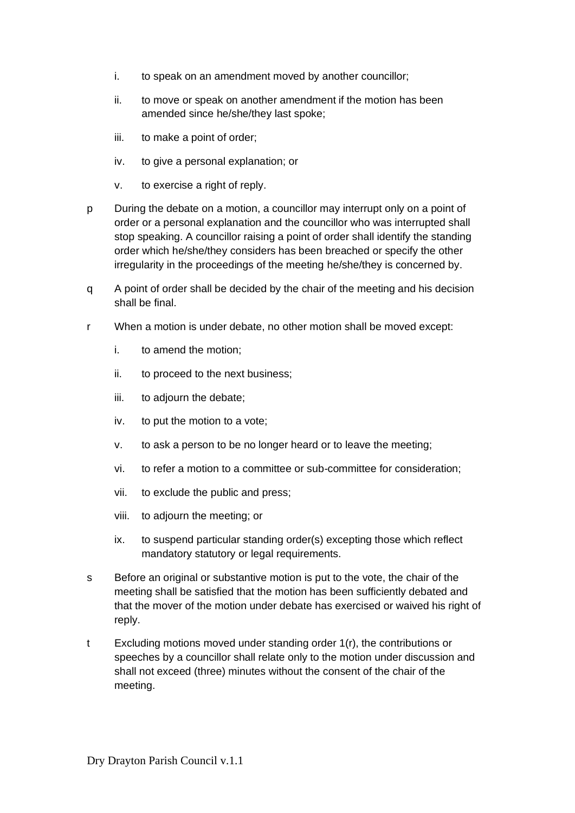- i. to speak on an amendment moved by another councillor;
- ii. to move or speak on another amendment if the motion has been amended since he/she/they last spoke;
- iii. to make a point of order;
- iv. to give a personal explanation; or
- v. to exercise a right of reply.
- p During the debate on a motion, a councillor may interrupt only on a point of order or a personal explanation and the councillor who was interrupted shall stop speaking. A councillor raising a point of order shall identify the standing order which he/she/they considers has been breached or specify the other irregularity in the proceedings of the meeting he/she/they is concerned by.
- q A point of order shall be decided by the chair of the meeting and his decision shall be final.
- r When a motion is under debate, no other motion shall be moved except:
	- i. to amend the motion;
	- ii. to proceed to the next business;
	- iii. to adjourn the debate;
	- iv. to put the motion to a vote;
	- v. to ask a person to be no longer heard or to leave the meeting;
	- vi. to refer a motion to a committee or sub-committee for consideration;
	- vii. to exclude the public and press;
	- viii. to adjourn the meeting; or
	- ix. to suspend particular standing order(s) excepting those which reflect mandatory statutory or legal requirements.
- s Before an original or substantive motion is put to the vote, the chair of the meeting shall be satisfied that the motion has been sufficiently debated and that the mover of the motion under debate has exercised or waived his right of reply.
- t Excluding motions moved under standing order 1(r), the contributions or speeches by a councillor shall relate only to the motion under discussion and shall not exceed (three) minutes without the consent of the chair of the meeting.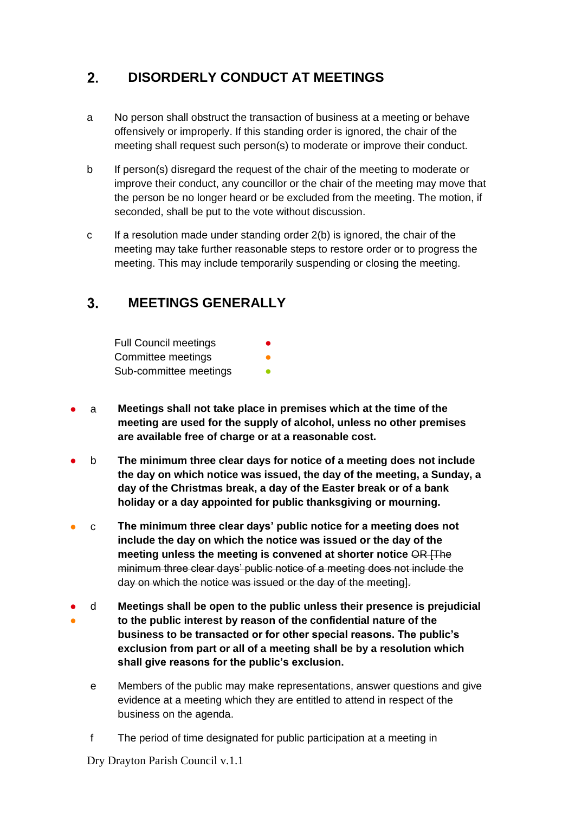## <span id="page-6-0"></span> $2.$ **DISORDERLY CONDUCT AT MEETINGS**

- a No person shall obstruct the transaction of business at a meeting or behave offensively or improperly. If this standing order is ignored, the chair of the meeting shall request such person(s) to moderate or improve their conduct.
- b If person(s) disregard the request of the chair of the meeting to moderate or improve their conduct, any councillor or the chair of the meeting may move that the person be no longer heard or be excluded from the meeting. The motion, if seconded, shall be put to the vote without discussion.
- c If a resolution made under standing order  $2(b)$  is ignored, the chair of the meeting may take further reasonable steps to restore order or to progress the meeting. This may include temporarily suspending or closing the meeting.

## <span id="page-6-1"></span> $3<sub>1</sub>$ **MEETINGS GENERALLY**

| <b>Full Council meetings</b> | $\bullet$ |
|------------------------------|-----------|
| Committee meetings           | 0         |
| Sub-committee meetings       |           |

- a **Meetings shall not take place in premises which at the time of the meeting are used for the supply of alcohol, unless no other premises are available free of charge or at a reasonable cost.**
- b **The minimum three clear days for notice of a meeting does not include the day on which notice was issued, the day of the meeting, a Sunday, a day of the Christmas break, a day of the Easter break or of a bank holiday or a day appointed for public thanksgiving or mourning.**
- c **The minimum three clear days' public notice for a meeting does not include the day on which the notice was issued or the day of the meeting unless the meeting is convened at shorter notice** OR [The minimum three clear days' public notice of a meeting does not include the day on which the notice was issued or the day of the meeting].
- ● d **Meetings shall be open to the public unless their presence is prejudicial to the public interest by reason of the confidential nature of the business to be transacted or for other special reasons. The public's exclusion from part or all of a meeting shall be by a resolution which shall give reasons for the public's exclusion.**
	- e Members of the public may make representations, answer questions and give evidence at a meeting which they are entitled to attend in respect of the business on the agenda.
	- f The period of time designated for public participation at a meeting in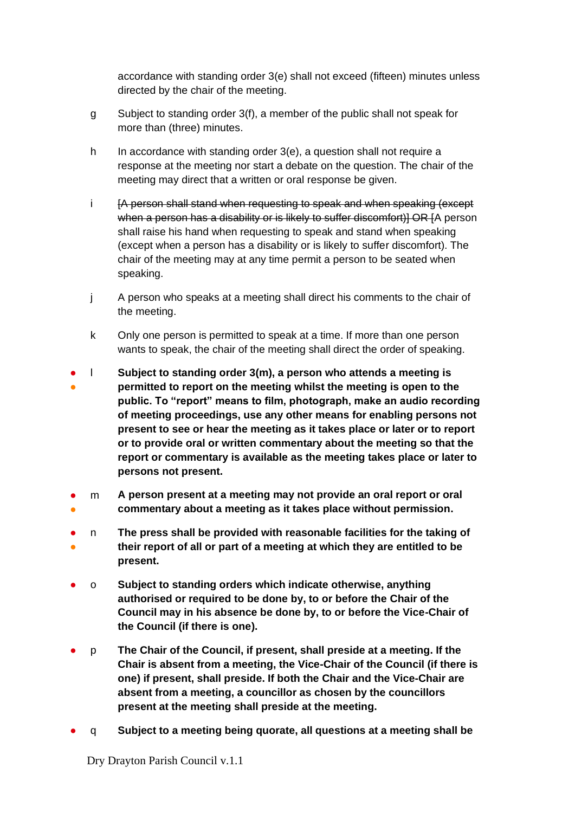accordance with standing order 3(e) shall not exceed (fifteen) minutes unless directed by the chair of the meeting.

- g Subject to standing order 3(f), a member of the public shall not speak for more than (three) minutes.
- h In accordance with standing order 3(e), a question shall not require a response at the meeting nor start a debate on the question. The chair of the meeting may direct that a written or oral response be given.
- i [A person shall stand when requesting to speak and when speaking (except when a person has a disability or is likely to suffer discomfort)] OR [A person shall raise his hand when requesting to speak and stand when speaking (except when a person has a disability or is likely to suffer discomfort). The chair of the meeting may at any time permit a person to be seated when speaking.
- j A person who speaks at a meeting shall direct his comments to the chair of the meeting.
- k Only one person is permitted to speak at a time. If more than one person wants to speak, the chair of the meeting shall direct the order of speaking.
- ● l **Subject to standing order 3(m), a person who attends a meeting is permitted to report on the meeting whilst the meeting is open to the public. To "report" means to film, photograph, make an audio recording of meeting proceedings, use any other means for enabling persons not present to see or hear the meeting as it takes place or later or to report or to provide oral or written commentary about the meeting so that the report or commentary is available as the meeting takes place or later to persons not present.**
- ● m **A person present at a meeting may not provide an oral report or oral commentary about a meeting as it takes place without permission.**
- ● n **The press shall be provided with reasonable facilities for the taking of their report of all or part of a meeting at which they are entitled to be present.**
- o **Subject to standing orders which indicate otherwise, anything authorised or required to be done by, to or before the Chair of the Council may in his absence be done by, to or before the Vice-Chair of the Council (if there is one).**
- p **The Chair of the Council, if present, shall preside at a meeting. If the Chair is absent from a meeting, the Vice-Chair of the Council (if there is one) if present, shall preside. If both the Chair and the Vice-Chair are absent from a meeting, a councillor as chosen by the councillors present at the meeting shall preside at the meeting.**
- q **Subject to a meeting being quorate, all questions at a meeting shall be**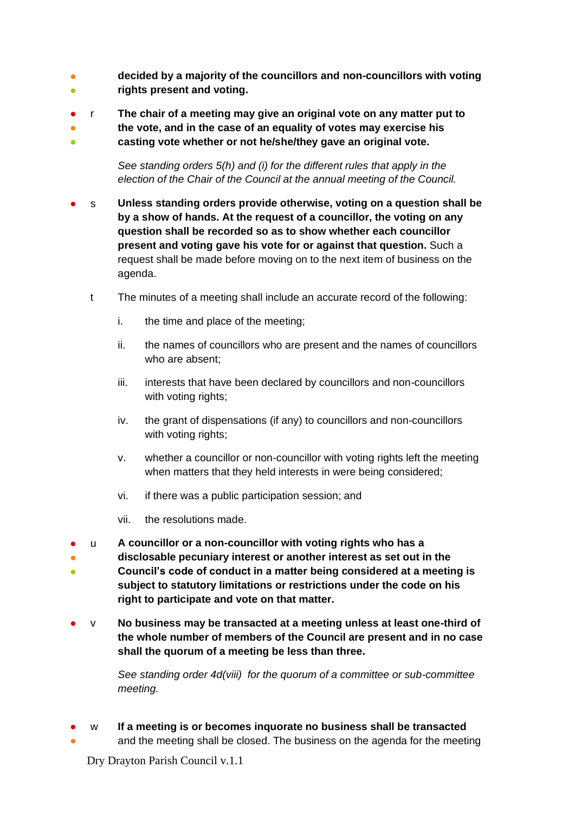- ● **decided by a majority of the councillors and non-councillors with voting rights present and voting.**
- r **The chair of a meeting may give an original vote on any matter put to**
- **the vote, and in the case of an equality of votes may exercise his**
- **casting vote whether or not he/she/they gave an original vote.**

*See standing orders 5(h) and (i) for the different rules that apply in the election of the Chair of the Council at the annual meeting of the Council.*

- s **Unless standing orders provide otherwise, voting on a question shall be by a show of hands. At the request of a councillor, the voting on any question shall be recorded so as to show whether each councillor present and voting gave his vote for or against that question.** Such a request shall be made before moving on to the next item of business on the agenda.
	- t The minutes of a meeting shall include an accurate record of the following:
		- i. the time and place of the meeting;
		- ii. the names of councillors who are present and the names of councillors who are absent;
		- iii. interests that have been declared by councillors and non-councillors with voting rights;
		- iv. the grant of dispensations (if any) to councillors and non-councillors with voting rights;
		- v. whether a councillor or non-councillor with voting rights left the meeting when matters that they held interests in were being considered;
		- vi. if there was a public participation session; and
		- vii. the resolutions made.
- u **A councillor or a non-councillor with voting rights who has a**
- ● **disclosable pecuniary interest or another interest as set out in the Council's code of conduct in a matter being considered at a meeting is subject to statutory limitations or restrictions under the code on his right to participate and vote on that matter.**
- v **No business may be transacted at a meeting unless at least one-third of the whole number of members of the Council are present and in no case shall the quorum of a meeting be less than three.**

*See standing order 4d(viii) for the quorum of a committee or sub-committee meeting.* 

● w **If a meeting is or becomes inquorate no business shall be transacted**

and the meeting shall be closed. The business on the agenda for the meeting

Dry Drayton Parish Council v.1.1

●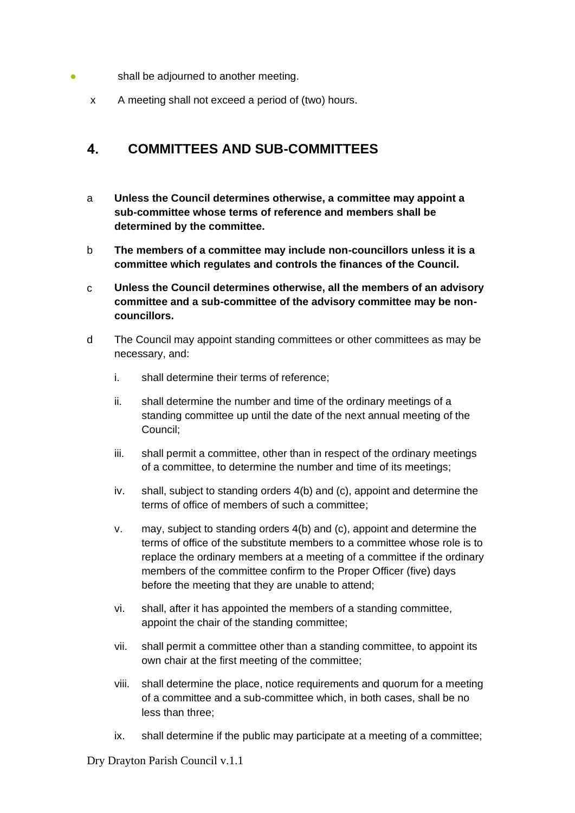- shall be adjourned to another meeting.
	- x A meeting shall not exceed a period of (two) hours.

### <span id="page-9-0"></span> $\overline{\mathbf{4}}$ . **COMMITTEES AND SUB-COMMITTEES**

- a **Unless the Council determines otherwise, a committee may appoint a sub-committee whose terms of reference and members shall be determined by the committee.**
- b **The members of a committee may include non-councillors unless it is a committee which regulates and controls the finances of the Council.**
- c **Unless the Council determines otherwise, all the members of an advisory committee and a sub-committee of the advisory committee may be noncouncillors.**
- d The Council may appoint standing committees or other committees as may be necessary, and:
	- i. shall determine their terms of reference;
	- ii. shall determine the number and time of the ordinary meetings of a standing committee up until the date of the next annual meeting of the Council;
	- iii. shall permit a committee, other than in respect of the ordinary meetings of a committee, to determine the number and time of its meetings;
	- iv. shall, subject to standing orders 4(b) and (c), appoint and determine the terms of office of members of such a committee;
	- v. may, subject to standing orders 4(b) and (c), appoint and determine the terms of office of the substitute members to a committee whose role is to replace the ordinary members at a meeting of a committee if the ordinary members of the committee confirm to the Proper Officer (five) days before the meeting that they are unable to attend;
	- vi. shall, after it has appointed the members of a standing committee, appoint the chair of the standing committee;
	- vii. shall permit a committee other than a standing committee, to appoint its own chair at the first meeting of the committee;
	- viii. shall determine the place, notice requirements and quorum for a meeting of a committee and a sub-committee which, in both cases, shall be no less than three;
	- ix. shall determine if the public may participate at a meeting of a committee;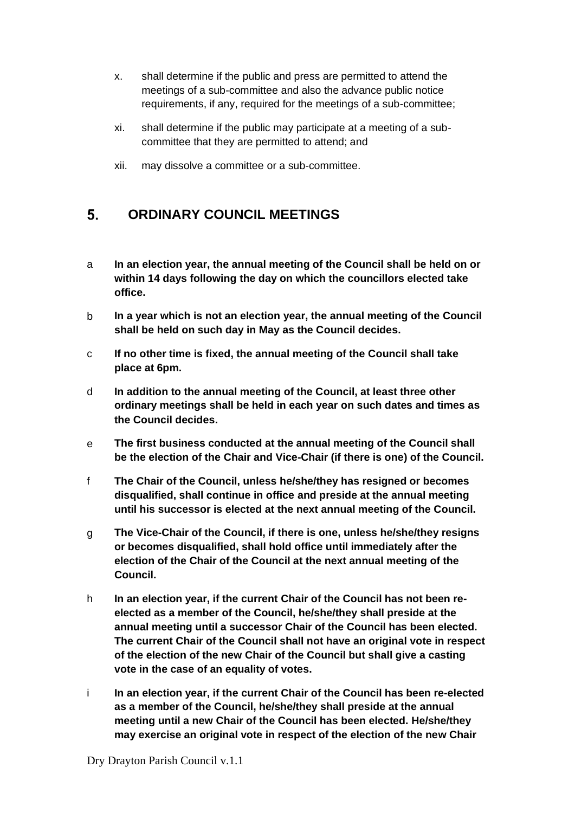- x. shall determine if the public and press are permitted to attend the meetings of a sub-committee and also the advance public notice requirements, if any, required for the meetings of a sub-committee;
- xi. shall determine if the public may participate at a meeting of a subcommittee that they are permitted to attend; and
- xii. may dissolve a committee or a sub-committee.

### <span id="page-10-0"></span>5. **ORDINARY COUNCIL MEETINGS**

- a **In an election year, the annual meeting of the Council shall be held on or within 14 days following the day on which the councillors elected take office.**
- b **In a year which is not an election year, the annual meeting of the Council shall be held on such day in May as the Council decides.**
- c **If no other time is fixed, the annual meeting of the Council shall take place at 6pm.**
- d **In addition to the annual meeting of the Council, at least three other ordinary meetings shall be held in each year on such dates and times as the Council decides.**
- e **The first business conducted at the annual meeting of the Council shall be the election of the Chair and Vice-Chair (if there is one) of the Council.**
- f **The Chair of the Council, unless he/she/they has resigned or becomes disqualified, shall continue in office and preside at the annual meeting until his successor is elected at the next annual meeting of the Council.**
- g **The Vice-Chair of the Council, if there is one, unless he/she/they resigns or becomes disqualified, shall hold office until immediately after the election of the Chair of the Council at the next annual meeting of the Council.**
- h **In an election year, if the current Chair of the Council has not been reelected as a member of the Council, he/she/they shall preside at the annual meeting until a successor Chair of the Council has been elected. The current Chair of the Council shall not have an original vote in respect of the election of the new Chair of the Council but shall give a casting vote in the case of an equality of votes.**
- i **In an election year, if the current Chair of the Council has been re-elected as a member of the Council, he/she/they shall preside at the annual meeting until a new Chair of the Council has been elected. He/she/they may exercise an original vote in respect of the election of the new Chair**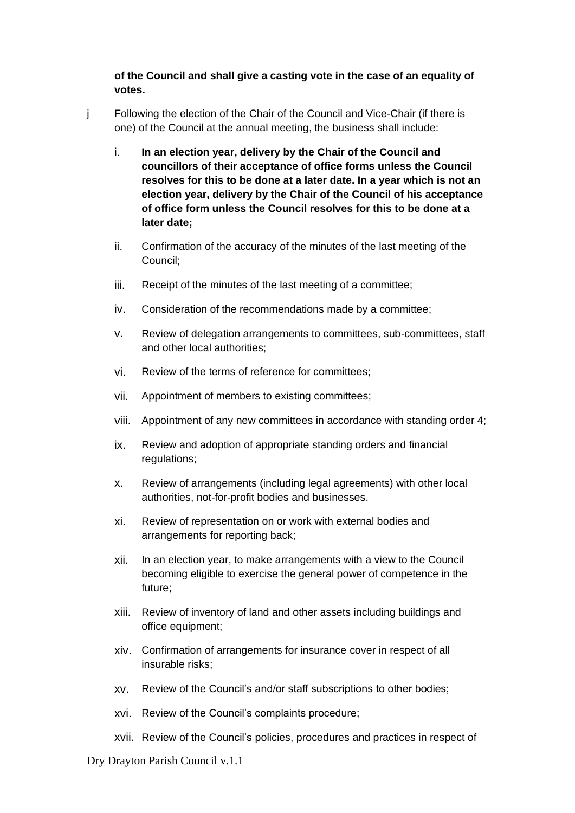**of the Council and shall give a casting vote in the case of an equality of votes.**

- j Following the election of the Chair of the Council and Vice-Chair (if there is one) of the Council at the annual meeting, the business shall include:
	- i. **In an election year, delivery by the Chair of the Council and councillors of their acceptance of office forms unless the Council resolves for this to be done at a later date. In a year which is not an election year, delivery by the Chair of the Council of his acceptance of office form unless the Council resolves for this to be done at a later date;**
	- ii. Confirmation of the accuracy of the minutes of the last meeting of the Council;
	- iii. Receipt of the minutes of the last meeting of a committee;
	- iv. Consideration of the recommendations made by a committee;
	- v. Review of delegation arrangements to committees, sub-committees, staff and other local authorities;
	- vi. Review of the terms of reference for committees;
	- vii. Appointment of members to existing committees;
	- viii. Appointment of any new committees in accordance with standing order 4;
	- ix. Review and adoption of appropriate standing orders and financial regulations;
	- x. Review of arrangements (including legal agreements) with other local authorities, not-for-profit bodies and businesses.
	- xi. Review of representation on or work with external bodies and arrangements for reporting back;
	- xii. In an election year, to make arrangements with a view to the Council becoming eligible to exercise the general power of competence in the future;
	- xiii. Review of inventory of land and other assets including buildings and office equipment;
	- xiv. Confirmation of arrangements for insurance cover in respect of all insurable risks;
	- xv. Review of the Council's and/or staff subscriptions to other bodies;
	- xvi. Review of the Council's complaints procedure;
	- xvii. Review of the Council's policies, procedures and practices in respect of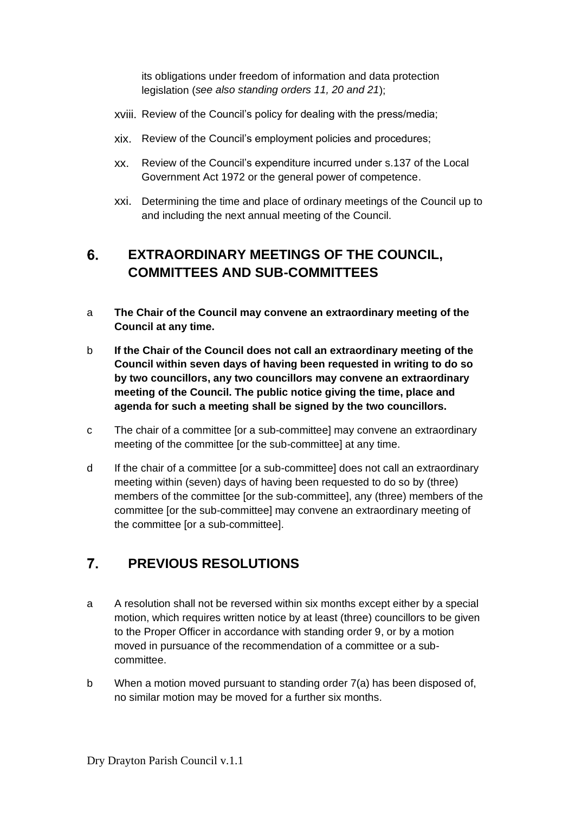its obligations under freedom of information and data protection legislation (*see also standing orders 11, 20 and 21*);

- xviii. Review of the Council's policy for dealing with the press/media;
- xix. Review of the Council's employment policies and procedures;
- xx. Review of the Council's expenditure incurred under s.137 of the Local Government Act 1972 or the general power of competence.
- xxi. Determining the time and place of ordinary meetings of the Council up to and including the next annual meeting of the Council.

## <span id="page-12-0"></span>6. **EXTRAORDINARY MEETINGS OF THE COUNCIL, COMMITTEES AND SUB-COMMITTEES**

- a **The Chair of the Council may convene an extraordinary meeting of the Council at any time.**
- b **If the Chair of the Council does not call an extraordinary meeting of the Council within seven days of having been requested in writing to do so by two councillors, any two councillors may convene an extraordinary meeting of the Council. The public notice giving the time, place and agenda for such a meeting shall be signed by the two councillors.**
- c The chair of a committee [or a sub-committee] may convene an extraordinary meeting of the committee [or the sub-committee] at any time.
- d If the chair of a committee [or a sub-committee] does not call an extraordinary meeting within (seven) days of having been requested to do so by (three) members of the committee [or the sub-committee], any (three) members of the committee [or the sub-committee] may convene an extraordinary meeting of the committee [or a sub-committee].

## <span id="page-12-1"></span> $\overline{7}$ . **PREVIOUS RESOLUTIONS**

- a A resolution shall not be reversed within six months except either by a special motion, which requires written notice by at least (three) councillors to be given to the Proper Officer in accordance with standing order 9, or by a motion moved in pursuance of the recommendation of a committee or a subcommittee.
- b When a motion moved pursuant to standing order 7(a) has been disposed of, no similar motion may be moved for a further six months.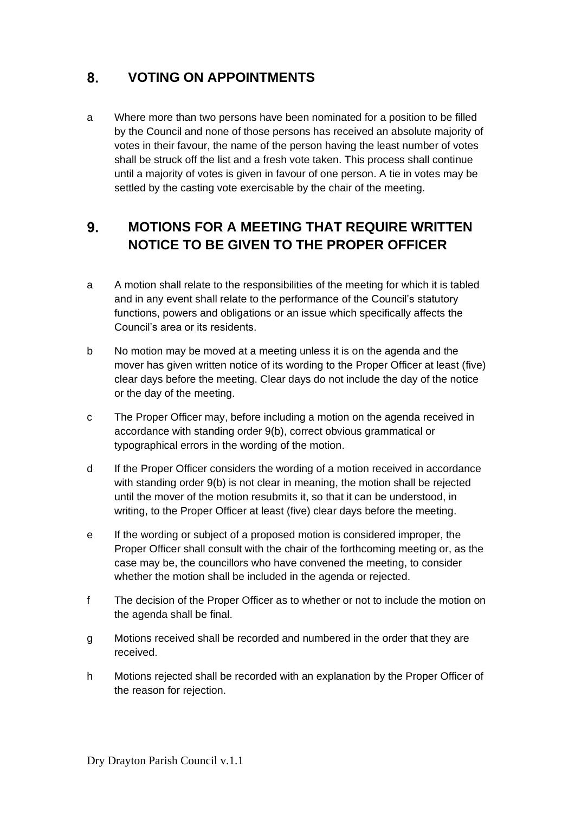## <span id="page-13-0"></span>8. **VOTING ON APPOINTMENTS**

a Where more than two persons have been nominated for a position to be filled by the Council and none of those persons has received an absolute majority of votes in their favour, the name of the person having the least number of votes shall be struck off the list and a fresh vote taken. This process shall continue until a majority of votes is given in favour of one person. A tie in votes may be settled by the casting vote exercisable by the chair of the meeting.

## <span id="page-13-1"></span>**MOTIONS FOR A MEETING THAT REQUIRE WRITTEN**   $9<sub>1</sub>$ **NOTICE TO BE GIVEN TO THE PROPER OFFICER**

- a A motion shall relate to the responsibilities of the meeting for which it is tabled and in any event shall relate to the performance of the Council's statutory functions, powers and obligations or an issue which specifically affects the Council's area or its residents.
- b No motion may be moved at a meeting unless it is on the agenda and the mover has given written notice of its wording to the Proper Officer at least (five) clear days before the meeting. Clear days do not include the day of the notice or the day of the meeting.
- c The Proper Officer may, before including a motion on the agenda received in accordance with standing order 9(b), correct obvious grammatical or typographical errors in the wording of the motion.
- d If the Proper Officer considers the wording of a motion received in accordance with standing order 9(b) is not clear in meaning, the motion shall be rejected until the mover of the motion resubmits it, so that it can be understood, in writing, to the Proper Officer at least (five) clear days before the meeting.
- e If the wording or subject of a proposed motion is considered improper, the Proper Officer shall consult with the chair of the forthcoming meeting or, as the case may be, the councillors who have convened the meeting, to consider whether the motion shall be included in the agenda or rejected.
- f The decision of the Proper Officer as to whether or not to include the motion on the agenda shall be final.
- g Motions received shall be recorded and numbered in the order that they are received.
- h Motions rejected shall be recorded with an explanation by the Proper Officer of the reason for rejection.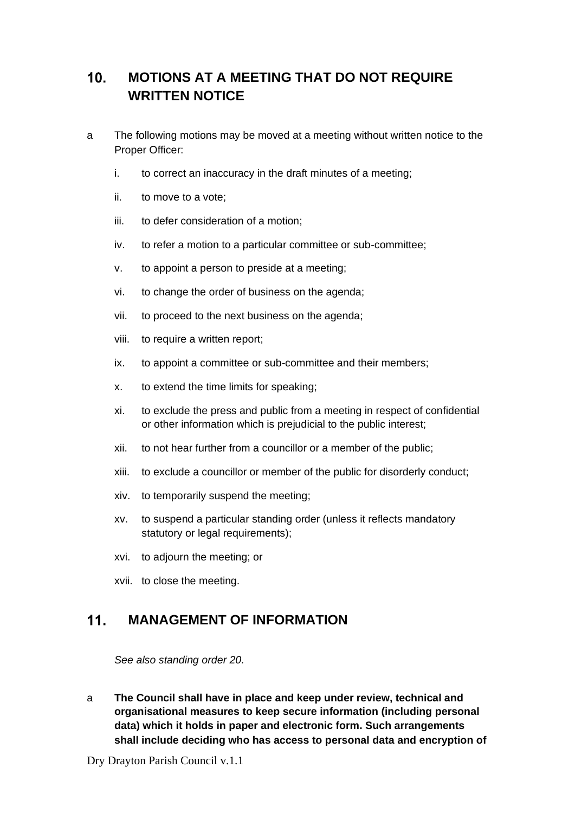## <span id="page-14-0"></span> $10<sub>1</sub>$ **MOTIONS AT A MEETING THAT DO NOT REQUIRE WRITTEN NOTICE**

- a The following motions may be moved at a meeting without written notice to the Proper Officer:
	- i. to correct an inaccuracy in the draft minutes of a meeting;
	- ii. to move to a vote;
	- iii. to defer consideration of a motion;
	- iv. to refer a motion to a particular committee or sub-committee;
	- v. to appoint a person to preside at a meeting;
	- vi. to change the order of business on the agenda;
	- vii. to proceed to the next business on the agenda;
	- viii. to require a written report;
	- ix. to appoint a committee or sub-committee and their members;
	- x. to extend the time limits for speaking;
	- xi. to exclude the press and public from a meeting in respect of confidential or other information which is prejudicial to the public interest;
	- xii. to not hear further from a councillor or a member of the public;
	- xiii. to exclude a councillor or member of the public for disorderly conduct;
	- xiv. to temporarily suspend the meeting;
	- xv. to suspend a particular standing order (unless it reflects mandatory statutory or legal requirements);
	- xvi. to adjourn the meeting; or
	- xvii. to close the meeting.

### <span id="page-14-1"></span> $11<sub>1</sub>$ **MANAGEMENT OF INFORMATION**

*See also standing order 20.*

a **The Council shall have in place and keep under review, technical and organisational measures to keep secure information (including personal data) which it holds in paper and electronic form. Such arrangements shall include deciding who has access to personal data and encryption of**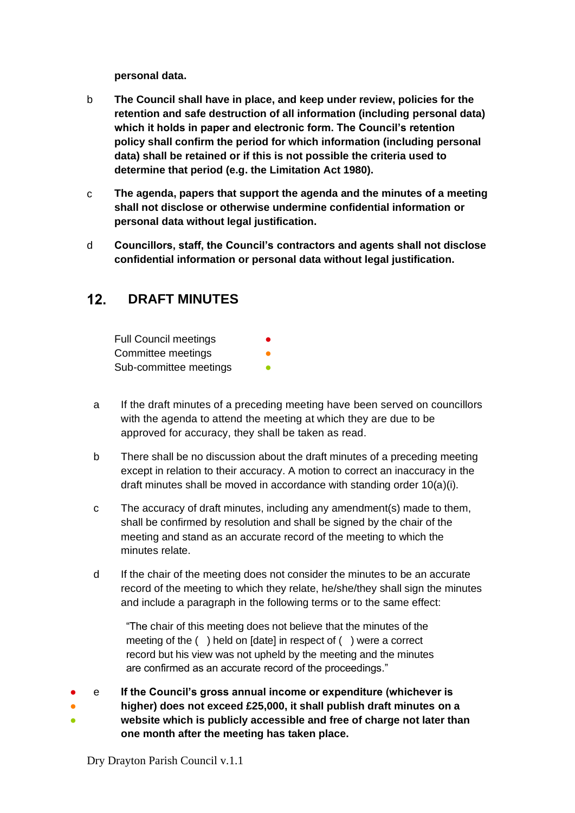**personal data.**

- b **The Council shall have in place, and keep under review, policies for the retention and safe destruction of all information (including personal data) which it holds in paper and electronic form. The Council's retention policy shall confirm the period for which information (including personal data) shall be retained or if this is not possible the criteria used to determine that period (e.g. the Limitation Act 1980).**
- c **The agenda, papers that support the agenda and the minutes of a meeting shall not disclose or otherwise undermine confidential information or personal data without legal justification.**
- d **Councillors, staff, the Council's contractors and agents shall not disclose confidential information or personal data without legal justification.**

### <span id="page-15-0"></span> $12.$ **DRAFT MINUTES**

| <b>Full Council meetings</b> | ● |
|------------------------------|---|
| Committee meetings           |   |
| Sub-committee meetings       |   |

- a If the draft minutes of a preceding meeting have been served on councillors with the agenda to attend the meeting at which they are due to be approved for accuracy, they shall be taken as read.
- b There shall be no discussion about the draft minutes of a preceding meeting except in relation to their accuracy. A motion to correct an inaccuracy in the draft minutes shall be moved in accordance with standing order 10(a)(i).
- c The accuracy of draft minutes, including any amendment(s) made to them, shall be confirmed by resolution and shall be signed by the chair of the meeting and stand as an accurate record of the meeting to which the minutes relate.
- d If the chair of the meeting does not consider the minutes to be an accurate record of the meeting to which they relate, he/she/they shall sign the minutes and include a paragraph in the following terms or to the same effect:

"The chair of this meeting does not believe that the minutes of the meeting of the ( ) held on [date] in respect of ( ) were a correct record but his view was not upheld by the meeting and the minutes are confirmed as an accurate record of the proceedings."

#### ● e **If the Council's gross annual income or expenditure (whichever is**

● ● **higher) does not exceed £25,000, it shall publish draft minutes on a website which is publicly accessible and free of charge not later than**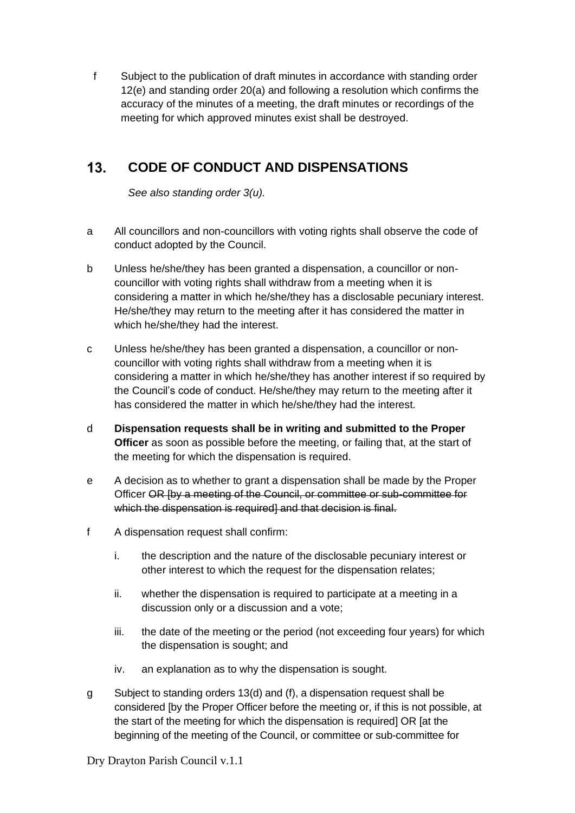f Subject to the publication of draft minutes in accordance with standing order 12(e) and standing order 20(a) and following a resolution which confirms the accuracy of the minutes of a meeting, the draft minutes or recordings of the meeting for which approved minutes exist shall be destroyed.

## <span id="page-16-0"></span> $13.$ **CODE OF CONDUCT AND DISPENSATIONS**

*See also standing order 3(u).*

- a All councillors and non-councillors with voting rights shall observe the code of conduct adopted by the Council.
- b Unless he/she/they has been granted a dispensation, a councillor or noncouncillor with voting rights shall withdraw from a meeting when it is considering a matter in which he/she/they has a disclosable pecuniary interest. He/she/they may return to the meeting after it has considered the matter in which he/she/they had the interest.
- c Unless he/she/they has been granted a dispensation, a councillor or noncouncillor with voting rights shall withdraw from a meeting when it is considering a matter in which he/she/they has another interest if so required by the Council's code of conduct. He/she/they may return to the meeting after it has considered the matter in which he/she/they had the interest.
- d **Dispensation requests shall be in writing and submitted to the Proper Officer** as soon as possible before the meeting, or failing that, at the start of the meeting for which the dispensation is required.
- e A decision as to whether to grant a dispensation shall be made by the Proper Officer OR [by a meeting of the Council, or committee or sub-committee for which the dispensation is required] and that decision is final.
- f A dispensation request shall confirm:
	- i. the description and the nature of the disclosable pecuniary interest or other interest to which the request for the dispensation relates;
	- ii. whether the dispensation is required to participate at a meeting in a discussion only or a discussion and a vote;
	- iii. the date of the meeting or the period (not exceeding four years) for which the dispensation is sought; and
	- iv. an explanation as to why the dispensation is sought.
- g Subject to standing orders 13(d) and (f), a dispensation request shall be considered [by the Proper Officer before the meeting or, if this is not possible, at the start of the meeting for which the dispensation is required] OR [at the beginning of the meeting of the Council, or committee or sub-committee for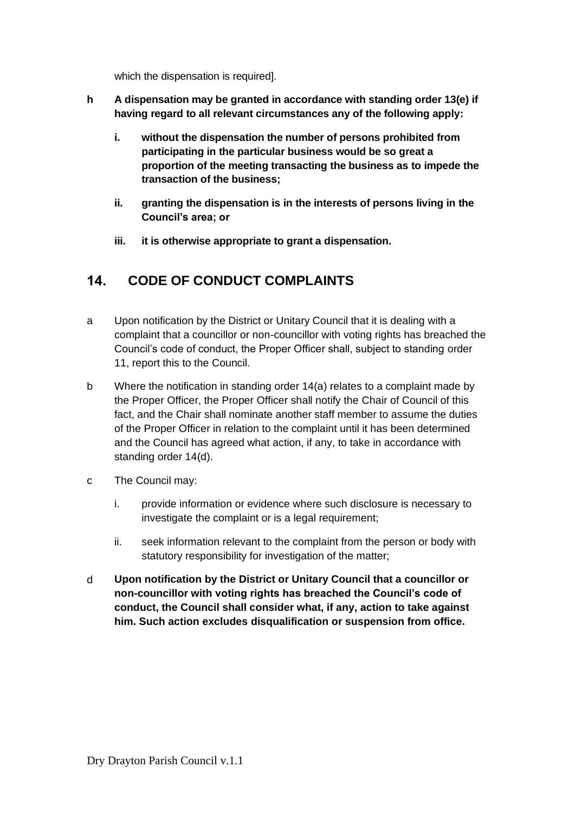which the dispensation is required].

- **h A dispensation may be granted in accordance with standing order 13(e) if having regard to all relevant circumstances any of the following apply:**
	- **i. without the dispensation the number of persons prohibited from participating in the particular business would be so great a proportion of the meeting transacting the business as to impede the transaction of the business;**
	- **ii. granting the dispensation is in the interests of persons living in the Council's area; or**
	- **iii. it is otherwise appropriate to grant a dispensation.**

### <span id="page-17-0"></span> $14$ **CODE OF CONDUCT COMPLAINTS**

- a Upon notification by the District or Unitary Council that it is dealing with a complaint that a councillor or non-councillor with voting rights has breached the Council's code of conduct, the Proper Officer shall, subject to standing order 11, report this to the Council.
- b Where the notification in standing order 14(a) relates to a complaint made by the Proper Officer, the Proper Officer shall notify the Chair of Council of this fact, and the Chair shall nominate another staff member to assume the duties of the Proper Officer in relation to the complaint until it has been determined and the Council has agreed what action, if any, to take in accordance with standing order 14(d).
- c The Council may:
	- i. provide information or evidence where such disclosure is necessary to investigate the complaint or is a legal requirement;
	- ii. seek information relevant to the complaint from the person or body with statutory responsibility for investigation of the matter;
- <span id="page-17-1"></span>d **Upon notification by the District or Unitary Council that a councillor or non-councillor with voting rights has breached the Council's code of conduct, the Council shall consider what, if any, action to take against him. Such action excludes disqualification or suspension from office.**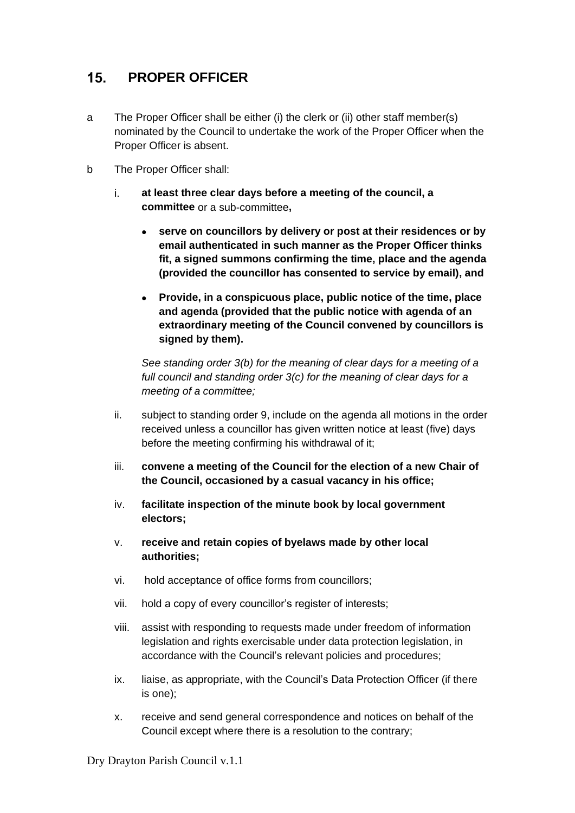## $15.$ **PROPER OFFICER**

- a The Proper Officer shall be either (i) the clerk or (ii) other staff member(s) nominated by the Council to undertake the work of the Proper Officer when the Proper Officer is absent.
- b The Proper Officer shall:
	- i. **at least three clear days before a meeting of the council, a committee** or a sub-committee**,**
		- **serve on councillors by delivery or post at their residences or by email authenticated in such manner as the Proper Officer thinks fit, a signed summons confirming the time, place and the agenda (provided the councillor has consented to service by email), and**
		- **Provide, in a conspicuous place, public notice of the time, place and agenda (provided that the public notice with agenda of an extraordinary meeting of the Council convened by councillors is signed by them).**

*See standing order 3(b) for the meaning of clear days for a meeting of a full council and standing order 3(c) for the meaning of clear days for a meeting of a committee;*

- ii. subject to standing order 9, include on the agenda all motions in the order received unless a councillor has given written notice at least (five) days before the meeting confirming his withdrawal of it;
- iii. **convene a meeting of the Council for the election of a new Chair of the Council, occasioned by a casual vacancy in his office;**
- iv. **facilitate inspection of the minute book by local government electors;**
- v. **receive and retain copies of byelaws made by other local authorities;**
- vi. hold acceptance of office forms from councillors;
- vii. hold a copy of every councillor's register of interests;
- viii. assist with responding to requests made under freedom of information legislation and rights exercisable under data protection legislation, in accordance with the Council's relevant policies and procedures;
- ix. liaise, as appropriate, with the Council's Data Protection Officer (if there is one);
- x. receive and send general correspondence and notices on behalf of the Council except where there is a resolution to the contrary;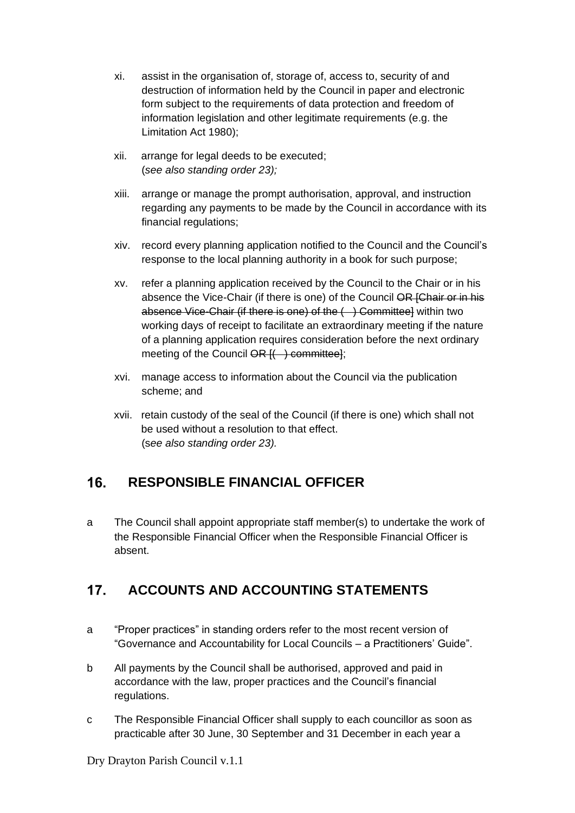- xi. assist in the organisation of, storage of, access to, security of and destruction of information held by the Council in paper and electronic form subject to the requirements of data protection and freedom of information legislation and other legitimate requirements (e.g. the Limitation Act 1980);
- xii. arrange for legal deeds to be executed; (*see also standing order 23);*
- xiii. arrange or manage the prompt authorisation, approval, and instruction regarding any payments to be made by the Council in accordance with its financial regulations;
- xiv. record every planning application notified to the Council and the Council's response to the local planning authority in a book for such purpose;
- xv. refer a planning application received by the Council to the Chair or in his absence the Vice-Chair (if there is one) of the Council OR [Chair or in his absence Vice-Chair (if there is one) of the ( ) Committee] within two working days of receipt to facilitate an extraordinary meeting if the nature of a planning application requires consideration before the next ordinary meeting of the Council OR [( ) committee];
- xvi. manage access to information about the Council via the publication scheme; and
- xvii. retain custody of the seal of the Council (if there is one) which shall not be used without a resolution to that effect. (s*ee also standing order 23).*

## <span id="page-19-0"></span> $16$ **RESPONSIBLE FINANCIAL OFFICER**

a The Council shall appoint appropriate staff member(s) to undertake the work of the Responsible Financial Officer when the Responsible Financial Officer is absent.

## <span id="page-19-1"></span> $17<sub>1</sub>$ **ACCOUNTS AND ACCOUNTING STATEMENTS**

- a "Proper practices" in standing orders refer to the most recent version of "Governance and Accountability for Local Councils – a Practitioners' Guide".
- b All payments by the Council shall be authorised, approved and paid in accordance with the law, proper practices and the Council's financial regulations.
- c The Responsible Financial Officer shall supply to each councillor as soon as practicable after 30 June, 30 September and 31 December in each year a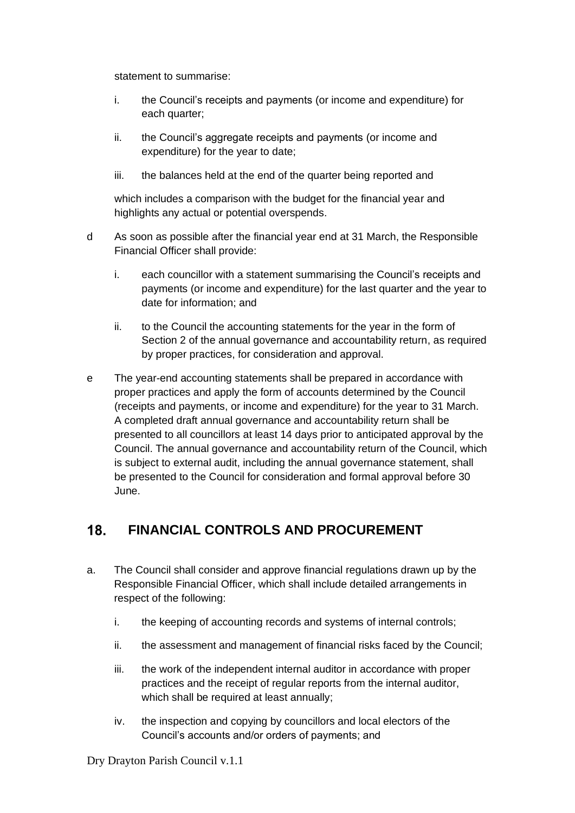statement to summarise:

- i. the Council's receipts and payments (or income and expenditure) for each quarter;
- ii. the Council's aggregate receipts and payments (or income and expenditure) for the year to date;
- iii. the balances held at the end of the quarter being reported and

which includes a comparison with the budget for the financial year and highlights any actual or potential overspends.

- d As soon as possible after the financial year end at 31 March, the Responsible Financial Officer shall provide:
	- i. each councillor with a statement summarising the Council's receipts and payments (or income and expenditure) for the last quarter and the year to date for information; and
	- ii. to the Council the accounting statements for the year in the form of Section 2 of the annual governance and accountability return, as required by proper practices, for consideration and approval.
- e The year-end accounting statements shall be prepared in accordance with proper practices and apply the form of accounts determined by the Council (receipts and payments, or income and expenditure) for the year to 31 March. A completed draft annual governance and accountability return shall be presented to all councillors at least 14 days prior to anticipated approval by the Council. The annual governance and accountability return of the Council, which is subject to external audit, including the annual governance statement, shall be presented to the Council for consideration and formal approval before 30 June.

## <span id="page-20-0"></span>**FINANCIAL CONTROLS AND PROCUREMENT**  $18.$

- a. The Council shall consider and approve financial regulations drawn up by the Responsible Financial Officer, which shall include detailed arrangements in respect of the following:
	- i. the keeping of accounting records and systems of internal controls;
	- ii. the assessment and management of financial risks faced by the Council;
	- iii. the work of the independent internal auditor in accordance with proper practices and the receipt of regular reports from the internal auditor, which shall be required at least annually;
	- iv. the inspection and copying by councillors and local electors of the Council's accounts and/or orders of payments; and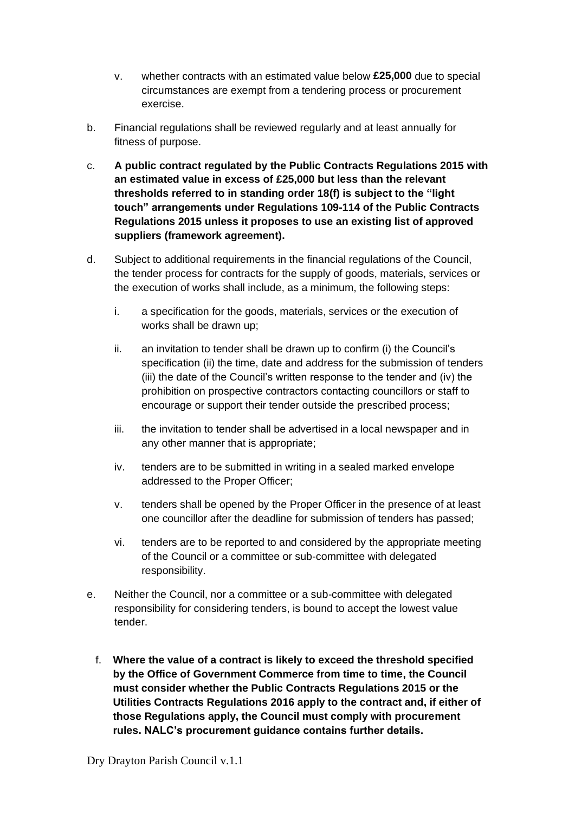- v. whether contracts with an estimated value below **£25,000** due to special circumstances are exempt from a tendering process or procurement exercise.
- b. Financial regulations shall be reviewed regularly and at least annually for fitness of purpose.
- c. **A public contract regulated by the Public Contracts Regulations 2015 with an estimated value in excess of £25,000 but less than the relevant thresholds referred to in standing order 18(f) is subject to the "light touch" arrangements under Regulations 109-114 of the Public Contracts Regulations 2015 unless it proposes to use an existing list of approved suppliers (framework agreement).**
- d. Subject to additional requirements in the financial regulations of the Council, the tender process for contracts for the supply of goods, materials, services or the execution of works shall include, as a minimum, the following steps:
	- i. a specification for the goods, materials, services or the execution of works shall be drawn up;
	- ii. an invitation to tender shall be drawn up to confirm (i) the Council's specification (ii) the time, date and address for the submission of tenders (iii) the date of the Council's written response to the tender and (iv) the prohibition on prospective contractors contacting councillors or staff to encourage or support their tender outside the prescribed process;
	- iii. the invitation to tender shall be advertised in a local newspaper and in any other manner that is appropriate;
	- iv. tenders are to be submitted in writing in a sealed marked envelope addressed to the Proper Officer;
	- v. tenders shall be opened by the Proper Officer in the presence of at least one councillor after the deadline for submission of tenders has passed;
	- vi. tenders are to be reported to and considered by the appropriate meeting of the Council or a committee or sub-committee with delegated responsibility.
- e. Neither the Council, nor a committee or a sub-committee with delegated responsibility for considering tenders, is bound to accept the lowest value tender.
	- f. **Where the value of a contract is likely to exceed the threshold specified by the Office of Government Commerce from time to time, the Council must consider whether the Public Contracts Regulations 2015 or the Utilities Contracts Regulations 2016 apply to the contract and, if either of those Regulations apply, the Council must comply with procurement rules. NALC's procurement guidance contains further details.**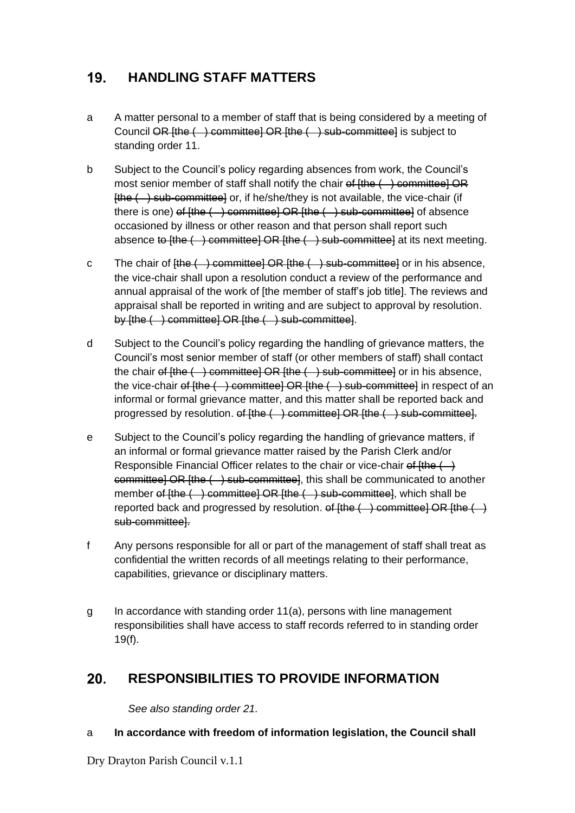## <span id="page-22-0"></span> $19.$ **HANDLING STAFF MATTERS**

- a A matter personal to a member of staff that is being considered by a meeting of Council OR [the ( ) committee] OR [the ( ) sub-committee] is subject to standing order 11.
- b Subject to the Council's policy regarding absences from work, the Council's most senior member of staff shall notify the chair  $\theta$  (the  $($  ) committee] OR  $[the  $\rightarrow$  sub-committed or, if he/she/they is not available, the vice-chain (if$ there is one) of  $[the (+)$  committee] OR  $[the (+)$  sub-committee] of absence occasioned by illness or other reason and that person shall report such absence to  $[the ( )$  committee] OR  $[the ( )$  sub-committee] at its next meeting.
- c The chair of  $[the (+)$  committee] OR  $[the (+)$  sub-committee] or in his absence, the vice-chair shall upon a resolution conduct a review of the performance and annual appraisal of the work of [the member of staff's job title]. The reviews and appraisal shall be reported in writing and are subject to approval by resolution. by [the ( ) committee] OR [the ( ) sub-committee].
- d Subject to the Council's policy regarding the handling of grievance matters, the Council's most senior member of staff (or other members of staff) shall contact the chair of  $[the (+)$  committee] OR  $[the (+)$  sub-committee] or in his absence, the vice-chair of  $[the ( )$  committee] OR  $[the ( )$  sub-committee] in respect of an informal or formal grievance matter, and this matter shall be reported back and progressed by resolution. of [the ( ) committee] OR [the ( ) sub-committee].
- e Subject to the Council's policy regarding the handling of grievance matters, if an informal or formal grievance matter raised by the Parish Clerk and/or Responsible Financial Officer relates to the chair or vice-chair of  $\sharp$ the  $($   $\to$ committee] OR  $[the ( ) sub-committee]$ , this shall be communicated to another member of [the ( ) committee] OR [the ( ) sub-committee], which shall be reported back and progressed by resolution.  $\theta$  [the  $($  ) committee] OR [the  $($  ) sub-committee].
- f Any persons responsible for all or part of the management of staff shall treat as confidential the written records of all meetings relating to their performance, capabilities, grievance or disciplinary matters.
- g In accordance with standing order 11(a), persons with line management responsibilities shall have access to staff records referred to in standing order 19(f).

## <span id="page-22-1"></span>20. **RESPONSIBILITIES TO PROVIDE INFORMATION**

*See also standing order 21.*

- a **In accordance with freedom of information legislation, the Council shall**
- Dry Drayton Parish Council v.1.1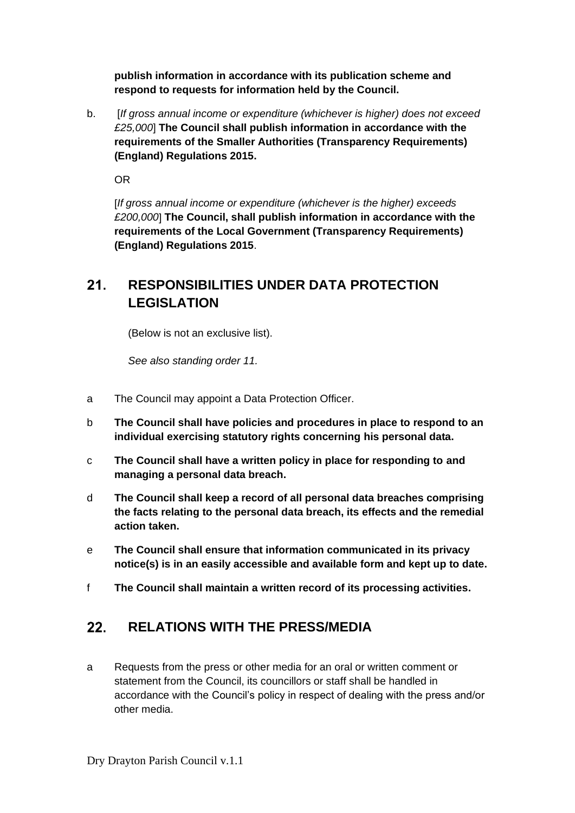**publish information in accordance with its publication scheme and respond to requests for information held by the Council.**

b. [*If gross annual income or expenditure (whichever is higher) does not exceed £25,000*] **The Council shall publish information in accordance with the requirements of the Smaller Authorities (Transparency Requirements) (England) Regulations 2015.**

OR

[*If gross annual income or expenditure (whichever is the higher) exceeds £200,000*] **The Council, shall publish information in accordance with the requirements of the Local Government (Transparency Requirements) (England) Regulations 2015**.

## <span id="page-23-0"></span> $21.$ **RESPONSIBILITIES UNDER DATA PROTECTION LEGISLATION**

(Below is not an exclusive list).

*See also standing order 11.*

- a The Council may appoint a Data Protection Officer.
- b **The Council shall have policies and procedures in place to respond to an individual exercising statutory rights concerning his personal data.**
- c **The Council shall have a written policy in place for responding to and managing a personal data breach.**
- d **The Council shall keep a record of all personal data breaches comprising the facts relating to the personal data breach, its effects and the remedial action taken.**
- e **The Council shall ensure that information communicated in its privacy notice(s) is in an easily accessible and available form and kept up to date.**
- f **The Council shall maintain a written record of its processing activities.**

## <span id="page-23-1"></span> $22.$ **RELATIONS WITH THE PRESS/MEDIA**

a Requests from the press or other media for an oral or written comment or statement from the Council, its councillors or staff shall be handled in accordance with the Council's policy in respect of dealing with the press and/or other media.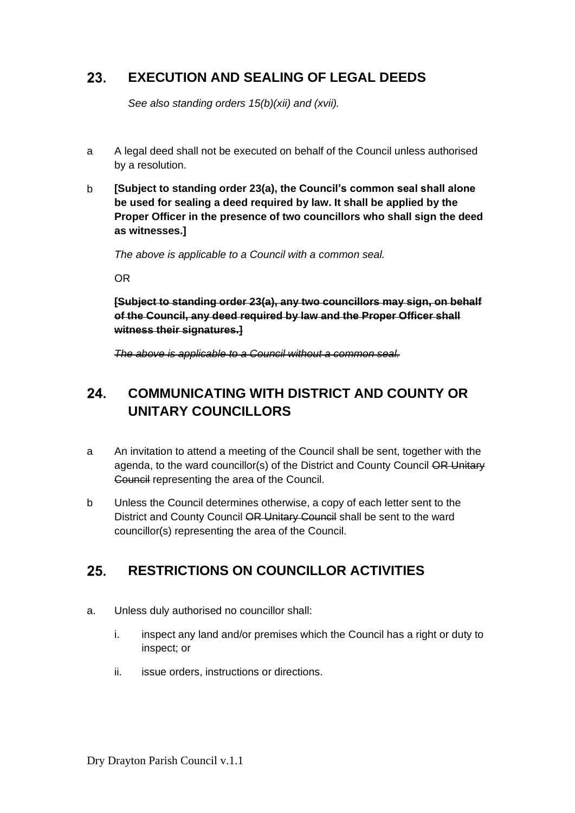## <span id="page-24-0"></span>23. **EXECUTION AND SEALING OF LEGAL DEEDS**

*See also standing orders 15(b)(xii) and (xvii).*

- a A legal deed shall not be executed on behalf of the Council unless authorised by a resolution.
- b **[Subject to standing order 23(a), the Council's common seal shall alone be used for sealing a deed required by law. It shall be applied by the Proper Officer in the presence of two councillors who shall sign the deed as witnesses.]**

*The above is applicable to a Council with a common seal.*

OR

**[Subject to standing order 23(a), any two councillors may sign, on behalf of the Council, any deed required by law and the Proper Officer shall witness their signatures.]** 

*The above is applicable to a Council without a common seal.*

## <span id="page-24-1"></span>24. **COMMUNICATING WITH DISTRICT AND COUNTY OR UNITARY COUNCILLORS**

- a An invitation to attend a meeting of the Council shall be sent, together with the agenda, to the ward councillor(s) of the District and County Council OR Unitary Council representing the area of the Council.
- b Unless the Council determines otherwise, a copy of each letter sent to the District and County Council OR Unitary Council shall be sent to the ward councillor(s) representing the area of the Council.

## <span id="page-24-2"></span>25. **RESTRICTIONS ON COUNCILLOR ACTIVITIES**

- a. Unless duly authorised no councillor shall:
	- i. inspect any land and/or premises which the Council has a right or duty to inspect; or
	- ii. issue orders, instructions or directions.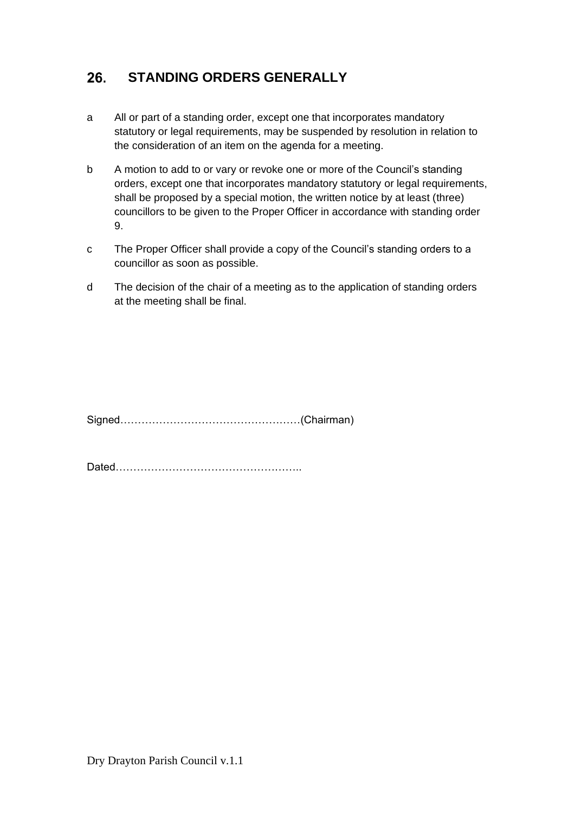## <span id="page-25-0"></span>26. **STANDING ORDERS GENERALLY**

- a All or part of a standing order, except one that incorporates mandatory statutory or legal requirements, may be suspended by resolution in relation to the consideration of an item on the agenda for a meeting.
- b A motion to add to or vary or revoke one or more of the Council's standing orders, except one that incorporates mandatory statutory or legal requirements, shall be proposed by a special motion, the written notice by at least (three) councillors to be given to the Proper Officer in accordance with standing order 9.
- c The Proper Officer shall provide a copy of the Council's standing orders to a councillor as soon as possible.
- d The decision of the chair of a meeting as to the application of standing orders at the meeting shall be final.

Signed……………………………………………(Chairman)

Dated……………………………………………..